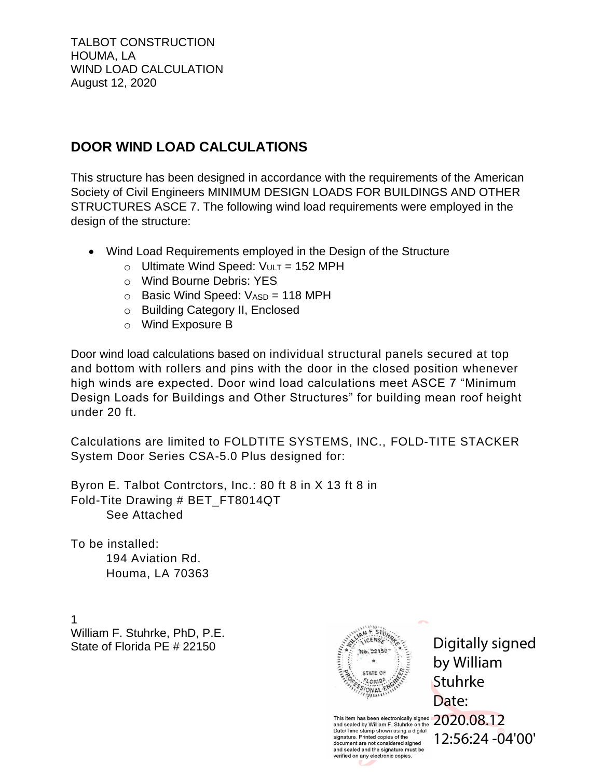# **DOOR WIND LOAD CALCULATIONS**

This structure has been designed in accordance with the requirements of the American Society of Civil Engineers MINIMUM DESIGN LOADS FOR BUILDINGS AND OTHER STRUCTURES ASCE 7. The following wind load requirements were employed in the design of the structure:

- Wind Load Requirements employed in the Design of the Structure
	- $\circ$  Ultimate Wind Speed:  $V_{ULT}$  = 152 MPH
	- o Wind Bourne Debris: YES
	- $\circ$  Basic Wind Speed:  $V_{ASD} = 118$  MPH
	- o Building Category II, Enclosed
	- o Wind Exposure B

Door wind load calculations based on individual structural panels secured at top and bottom with rollers and pins with the door in the closed position whenever high winds are expected. Door wind load calculations meet ASCE 7 "Minimum Design Loads for Buildings and Other Structures" for building mean roof height under 20 ft.

Calculations are limited to FOLDTITE SYSTEMS, INC., FOLD-TITE STACKER System Door Series CSA-5.0 Plus designed for:

Byron E. Talbot Contrctors, Inc.: 80 ft 8 in X 13 ft 8 in Fold-Tite Drawing # BET\_FT8014QT See Attached

To be installed: 194 Aviation Rd. Houma, LA 70363

1 William F. Stuhrke, PhD, P.E. State of Florida PE # 22150



Digitally signed by William Stuhrke Date:

This item has been electronically signed  $2020.08.12$ and sealed by William F. Stuhrke on the Date/Time stamp shown using a digital<br>signature. Printed copies of the document are not considered signed<br>and sealed and the signature must be verified on any electronic copies.

12:56:24 -04'00'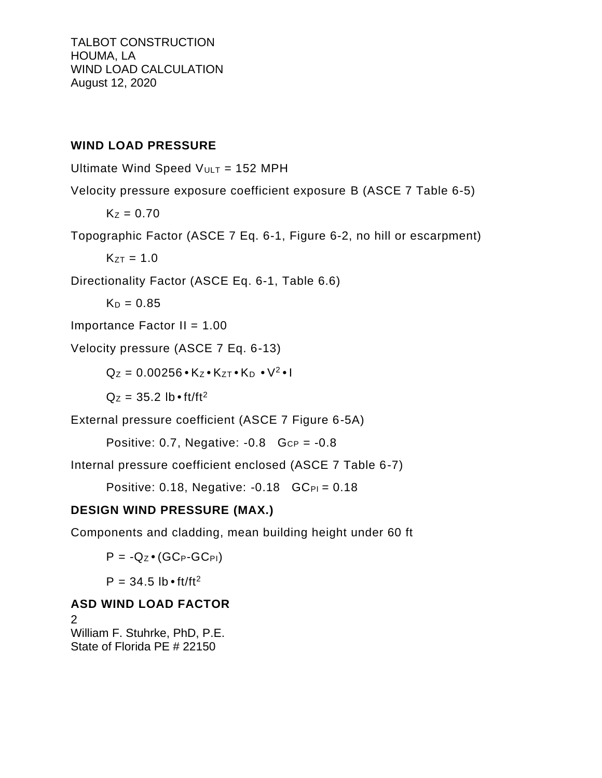#### **WIND LOAD PRESSURE**

Ultimate Wind Speed  $V_{ULT}$  = 152 MPH

Velocity pressure exposure coefficient exposure B (ASCE 7 Table 6-5)

 $K_Z = 0.70$ 

Topographic Factor (ASCE 7 Eq. 6-1, Figure 6-2, no hill or escarpment)

 $K_{ZT} = 1.0$ 

Directionality Factor (ASCE Eq. 6-1, Table 6.6)

 $K_D = 0.85$ 

Importance Factor  $II = 1.00$ 

Velocity pressure (ASCE 7 Eq. 6-13)

 $Q_Z = 0.00256 \cdot K_Z \cdot K_{ZT} \cdot K_D \cdot V^2 \cdot I$ 

 $Q_Z = 35.2$  lb  $\cdot$  ft/ft<sup>2</sup>

External pressure coefficient (ASCE 7 Figure 6-5A)

Positive: 0.7, Negative:  $-0.8$  G<sub>CP</sub> =  $-0.8$ 

Internal pressure coefficient enclosed (ASCE 7 Table 6-7)

Positive: 0.18, Negative:  $-0.18$  GC<sub>PI</sub> = 0.18

## **DESIGN WIND PRESSURE (MAX.)**

Components and cladding, mean building height under 60 ft

 $P = -Q_Z \bullet (GC_P - GC_{PI})$ 

 $P = 34.5$  lb • ft/ft<sup>2</sup>

## **ASD WIND LOAD FACTOR**

2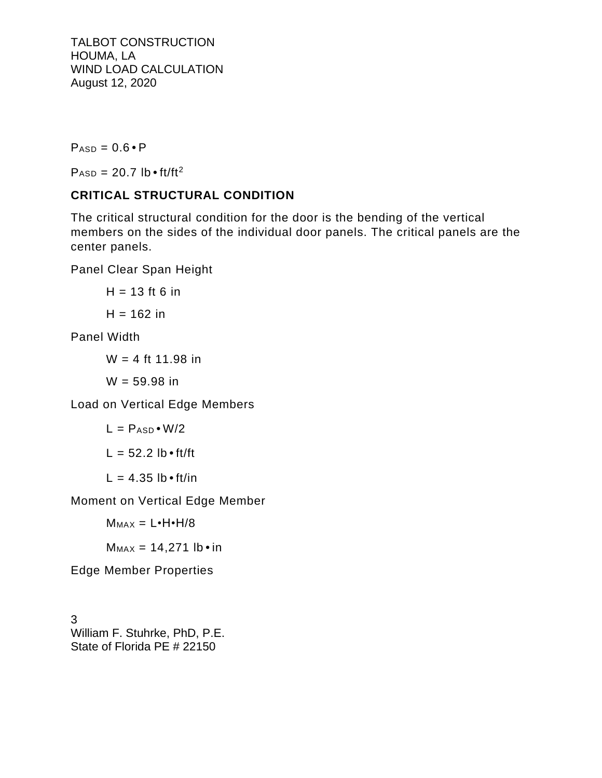$P_{ASD} = 0.6 \cdot P$ 

 $P_{ASD} = 20.7$  lb • ft/ft<sup>2</sup>

## **CRITICAL STRUCTURAL CONDITION**

The critical structural condition for the door is the bending of the vertical members on the sides of the individual door panels. The critical panels are the center panels.

Panel Clear Span Height

 $H = 13$  ft 6 in  $H = 162$  in

Panel Width

 $W = 4$  ft 11.98 in

 $W = 59.98$  in

Load on Vertical Edge Members

$$
L = P_{ASD} \cdot W/2
$$

$$
L = 52.2 lb \cdot ft/ft
$$

 $L = 4.35$  lb  $\cdot$  ft/in

Moment on Vertical Edge Member

 $M_{MAX} = L \cdot H \cdot H / 8$ 

 $M_{MAX} = 14,271$  lb • in

Edge Member Properties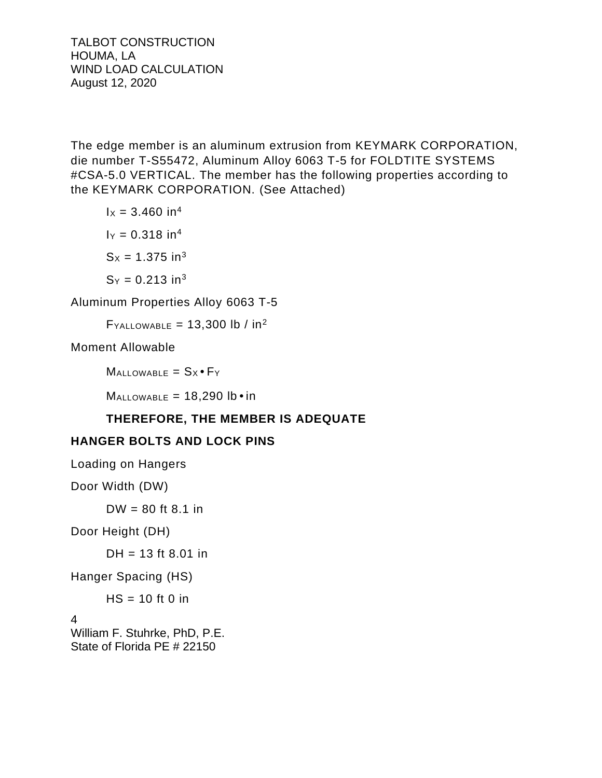The edge member is an aluminum extrusion from KEYMARK CORPORATION, die number T-S55472, Aluminum Alloy 6063 T-5 for FOLDTITE SYSTEMS #CSA-5.0 VERTICAL. The member has the following properties according to the KEYMARK CORPORATION. (See Attached)

 $1x = 3.460$  in<sup>4</sup>  $I_Y = 0.318$  in<sup>4</sup>  $S_x = 1.375$  in<sup>3</sup>

 $S_Y = 0.213$  in<sup>3</sup>

Aluminum Properties Alloy 6063 T-5

 $F_{\text{YALLOWABLE}} = 13,300 \text{ lb} / \text{ in}^2$ 

Moment Allowable

 $M$ ALLOWABLE =  $Sx \cdot Fy$ 

 $M$ ALLOWABLE = 18,290 lb  $\cdot$  in

## **THEREFORE, THE MEMBER IS ADEQUATE**

## **HANGER BOLTS AND LOCK PINS**

Loading on Hangers

Door Width (DW)

 $DW = 80$  ft 8.1 in

Door Height (DH)

 $DH = 13$  ft 8.01 in

Hanger Spacing (HS)

 $HS = 10$  ft 0 in

4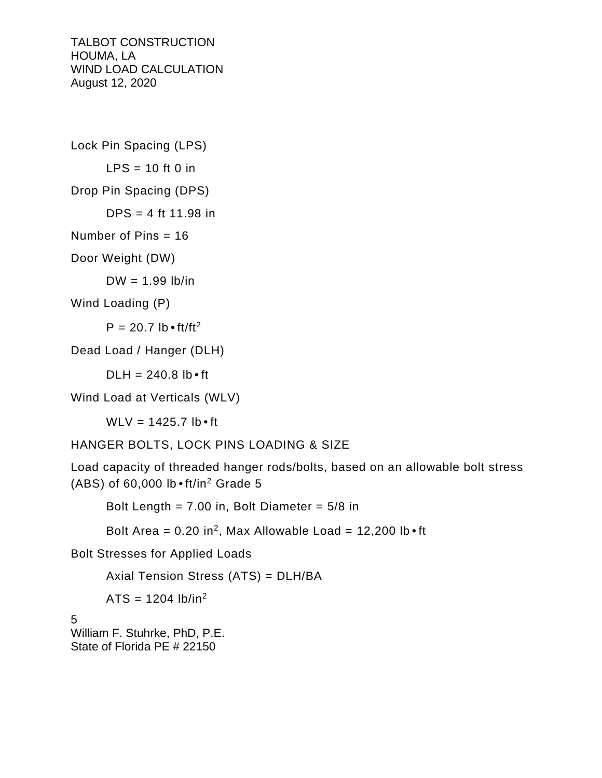Lock Pin Spacing (LPS)  $LPS = 10$  ft 0 in Drop Pin Spacing (DPS)  $DPS = 4$  ft 11.98 in Number of Pins = 16 Door Weight (DW)

 $DW = 1.99$  lb/in

Wind Loading (P)

 $P = 20.7$  lb  $\cdot$  ft/ft<sup>2</sup>

Dead Load / Hanger (DLH)

 $D L H = 240.8$  lb  $\cdot$  ft

Wind Load at Verticals (WLV)

WLV =  $1425.7$  lb  $\cdot$  ft

HANGER BOLTS, LOCK PINS LOADING & SIZE

Load capacity of threaded hanger rods/bolts, based on an allowable bolt stress (ABS) of 60,000 lb•ft/in<sup>2</sup> Grade 5

Bolt Length =  $7.00$  in, Bolt Diameter =  $5/8$  in

Bolt Area =  $0.20$  in<sup>2</sup>, Max Allowable Load =  $12,200$  lb  $\cdot$  ft

Bolt Stresses for Applied Loads

Axial Tension Stress (ATS) = DLH/BA

 $ATS = 1204 lb/in<sup>2</sup>$ 

5